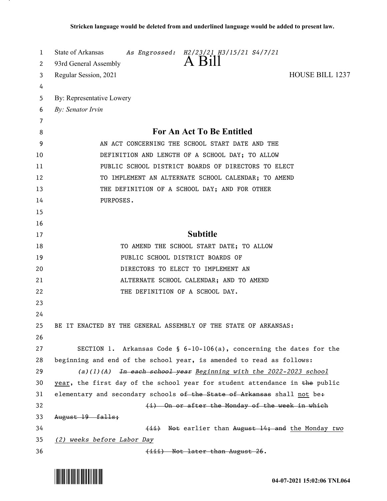| 1  | State of Arkansas<br>As Engrossed: H2/23/21 H3/15/21 S4/7/21                   |
|----|--------------------------------------------------------------------------------|
| 2  | A Bill<br>93rd General Assembly                                                |
| 3  | <b>HOUSE BILL 1237</b><br>Regular Session, 2021                                |
| 4  |                                                                                |
| 5  | By: Representative Lowery                                                      |
| 6  | By: Senator Irvin                                                              |
| 7  |                                                                                |
| 8  | <b>For An Act To Be Entitled</b>                                               |
| 9  | AN ACT CONCERNING THE SCHOOL START DATE AND THE                                |
| 10 | DEFINITION AND LENGTH OF A SCHOOL DAY; TO ALLOW                                |
| 11 | PUBLIC SCHOOL DISTRICT BOARDS OF DIRECTORS TO ELECT                            |
| 12 | TO IMPLEMENT AN ALTERNATE SCHOOL CALENDAR; TO AMEND                            |
| 13 | THE DEFINITION OF A SCHOOL DAY; AND FOR OTHER                                  |
| 14 | PURPOSES.                                                                      |
| 15 |                                                                                |
| 16 |                                                                                |
| 17 | <b>Subtitle</b>                                                                |
| 18 | TO AMEND THE SCHOOL START DATE; TO ALLOW                                       |
| 19 | PUBLIC SCHOOL DISTRICT BOARDS OF                                               |
| 20 | DIRECTORS TO ELECT TO IMPLEMENT AN                                             |
| 21 | ALTERNATE SCHOOL CALENDAR; AND TO AMEND                                        |
| 22 | THE DEFINITION OF A SCHOOL DAY.                                                |
| 23 |                                                                                |
| 24 |                                                                                |
| 25 | BE IT ENACTED BY THE GENERAL ASSEMBLY OF THE STATE OF ARKANSAS:                |
| 26 |                                                                                |
| 27 | SECTION 1. Arkansas Code § $6-10-106(a)$ , concerning the dates for the        |
| 28 | beginning and end of the school year, is amended to read as follows:           |
| 29 | (a)(1)(A) $\overline{4n}$ each school year Beginning with the 2022-2023 school |
| 30 | year, the first day of the school year for student attendance in the public    |
| 31 | elementary and secondary schools of the State of Arkansas shall not be+        |
| 32 | (i) On or after the Monday of the week in which                                |
| 33 | August 19 falls:                                                               |
| 34 | (ii) Not earlier than August 14; and the Monday two                            |
| 35 | (2) weeks before Labor Day                                                     |
| 36 | (iii) Not later than August 26.                                                |

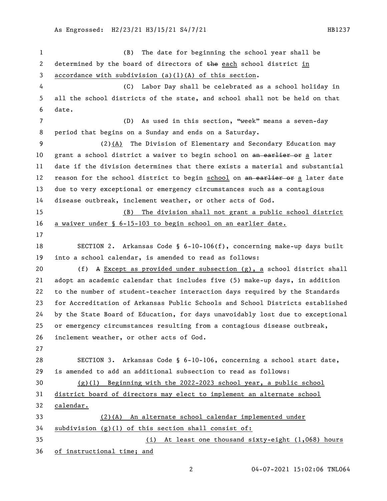| 1  | (B) The date for beginning the school year shall be                           |
|----|-------------------------------------------------------------------------------|
| 2  | determined by the board of directors of the each school district in           |
| 3  | accordance with subdivision $(a)(1)(A)$ of this section.                      |
| 4  | (C) Labor Day shall be celebrated as a school holiday in                      |
| 5  | all the school districts of the state, and school shall not be held on that   |
| 6  | date.                                                                         |
| 7  | As used in this section, "week" means a seven-day<br>(D)                      |
| 8  | period that begins on a Sunday and ends on a Saturday.                        |
| 9  | (2)(A) The Division of Elementary and Secondary Education may                 |
| 10 | grant a school district a waiver to begin school on an earlier or a later     |
| 11 | date if the division determines that there exists a material and substantial  |
| 12 | reason for the school district to begin school on an earlier or a later date  |
| 13 | due to very exceptional or emergency circumstances such as a contagious       |
| 14 | disease outbreak, inclement weather, or other acts of God.                    |
| 15 | The division shall not grant a public school district<br>(B)                  |
| 16 | a waiver under § 6-15-103 to begin school on an earlier date.                 |
| 17 |                                                                               |
| 18 | SECTION 2. Arkansas Code § $6-10-106(f)$ , concerning make-up days built      |
| 19 | into a school calendar, is amended to read as follows:                        |
| 20 | A Except as provided under subsection $(g)$ , a school district shall<br>(f)  |
| 21 | adopt an academic calendar that includes five (5) make-up days, in addition   |
| 22 | to the number of student-teacher interaction days required by the Standards   |
| 23 | for Accreditation of Arkansas Public Schools and School Districts established |
| 24 | by the State Board of Education, for days unavoidably lost due to exceptional |
| 25 | or emergency circumstances resulting from a contagious disease outbreak,      |
| 26 | inclement weather, or other acts of God.                                      |
| 27 |                                                                               |
| 28 | SECTION 3. Arkansas Code § 6-10-106, concerning a school start date,          |
| 29 | is amended to add an additional subsection to read as follows:                |
| 30 | $(g)(1)$ Beginning with the 2022-2023 school year, a public school            |
| 31 | district board of directors may elect to implement an alternate school        |
| 32 | calendar.                                                                     |
| 33 | (2)(A) An alternate school calendar implemented under                         |
| 34 | subdivision (g)(1) of this section shall consist of:                          |
| 35 | (i) At least one thousand sixty-eight (1,068) hours                           |
| 36 | of instructional time; and                                                    |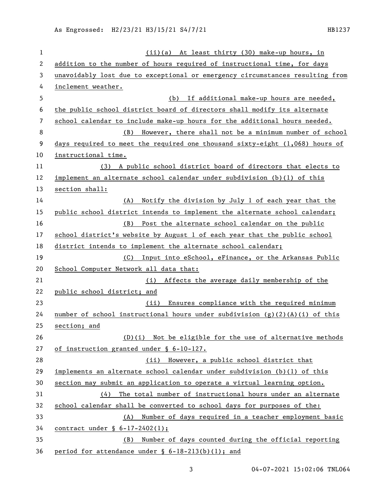As Engrossed: H2/23/21 H3/15/21 S4/7/21 HB1237

| $\mathbf{1}$ | (ii)(a) At least thirty (30) make-up hours, in                                 |
|--------------|--------------------------------------------------------------------------------|
| $\mathbf{2}$ | addition to the number of hours required of instructional time, for days       |
| 3            | unavoidably lost due to exceptional or emergency circumstances resulting from  |
| 4            | inclement weather.                                                             |
| 5            | (b) If additional make-up hours are needed,                                    |
| 6            | the public school district board of directors shall modify its alternate       |
| 7            | school calendar to include make-up hours for the additional hours needed.      |
| 8            | However, there shall not be a minimum number of school<br>(B)                  |
| 9            | days required to meet the required one thousand sixty-eight $(1,068)$ hours of |
| 10           | instructional time.                                                            |
| 11           | (3) A public school district board of directors that elects to                 |
| 12           | implement an alternate school calendar under subdivision (b)(1) of this        |
| 13           | section shall:                                                                 |
| 14           | (A) Notify the division by July 1 of each year that the                        |
| 15           | public school district intends to implement the alternate school calendar;     |
| 16           | (B) Post the alternate school calendar on the public                           |
| 17           | school district's website by August 1 of each year that the public school      |
| 18           | district intends to implement the alternate school calendar;                   |
| 19           | (C) Input into eSchool, eFinance, or the Arkansas Public                       |
| 20           | School Computer Network all data that:                                         |
| 21           | (i) Affects the average daily membership of the                                |
| 22           | public school district; and                                                    |
| 23           | Ensures compliance with the required minimum<br>(ii)                           |
| 24           | number of school instructional hours under subdivision $(g)(2)(A)(i)$ of this  |
| 25           | section; and                                                                   |
| 26           | $(D)(i)$ Not be eligible for the use of alternative methods                    |
| 27           | of instruction granted under § 6-10-127.                                       |
| 28           | (ii) However, a public school district that                                    |
| 29           | implements an alternate school calendar under subdivision (b)(l) of this       |
| 30           | section may submit an application to operate a virtual learning option.        |
| 31           | $(4)$ The total number of instructional hours under an alternate               |
| 32           | school calendar shall be converted to school days for purposes of the:         |
| 33           | (A) Number of days required in a teacher employment basic                      |
| 34           | contract under $\S$ 6-17-2402(1);                                              |
| 35           | Number of days counted during the official reporting<br>(B)                    |
| 36           | period for attendance under § 6-18-213(b)(1); and                              |

04-07-2021 15:02:06 TNL064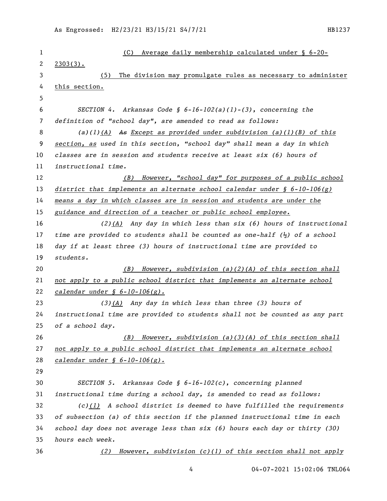| 1  | Average daily membership calculated under § 6-20-<br>(C)                               |
|----|----------------------------------------------------------------------------------------|
| 2  | $2303(3)$ .                                                                            |
| 3  | The division may promulgate rules as necessary to administer<br>(5)                    |
| 4  | this section.                                                                          |
| 5  |                                                                                        |
| 6  | SECTION 4. Arkansas Code § $6-16-102(a)(1)-(3)$ , concerning the                       |
| 7  | definition of "school day", are amended to read as follows:                            |
| 8  | (a) $(1)$ $(A)$ As Except as provided under subdivision (a) $(1)$ $(B)$ of this        |
| 9  | section, as used in this section, "school day" shall mean a day in which               |
| 10 | classes are in session and students receive at least six (6) hours of                  |
| 11 | instructional time.                                                                    |
| 12 | However, "school day" for purposes of a public school<br>(B)                           |
| 13 | district that implements an alternate school calendar under $\S$ 6-10-106(g)           |
| 14 | means a day in which classes are in session and students are under the                 |
| 15 | guidance and direction of a teacher or public school employee.                         |
| 16 | $(2)$ (A) Any day in which less than six (6) hours of instructional                    |
| 17 | time are provided to students shall be counted as one-half $(\frac{1}{2})$ of a school |
| 18 | day if at least three (3) hours of instructional time are provided to                  |
| 19 | students.                                                                              |
| 20 | However, subdivision (a)(2)(A) of this section shall<br>(B)                            |
| 21 | not apply to a public school district that implements an alternate school              |
| 22 | <u>calendar under § 6-10-106(g).</u>                                                   |
| 23 | $(3)$ (A) Any day in which less than three (3) hours of                                |
| 24 | instructional time are provided to students shall not be counted as any part           |
| 25 | of a school day.                                                                       |
| 26 | However, subdivision (a)(3)(A) of this section shall<br>(B)                            |
| 27 | not apply to a public school district that implements an alternate school              |
| 28 | $cal$ ralendar under § 6-10-106 $(g)$ .                                                |
| 29 |                                                                                        |
| 30 | SECTION 5. Arkansas Code § $6-16-102(c)$ , concerning planned                          |
| 31 | instructional time during a school day, is amended to read as follows:                 |
| 32 | $(c)$ (1) A school district is deemed to have fulfilled the requirements               |
| 33 | of subsection (a) of this section if the planned instructional time in each            |
| 34 | school day does not average less than six (6) hours each day or thirty (30)            |
| 35 | hours each week.                                                                       |
| 36 | However, subdivision (c)(1) of this section shall not apply<br>(2)                     |
|    |                                                                                        |

04-07-2021 15:02:06 TNL064